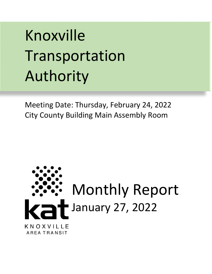# Knoxville Transportation Authority

Meeting Date: Thursday, February 24, 2022 City County Building Main Assembly Room

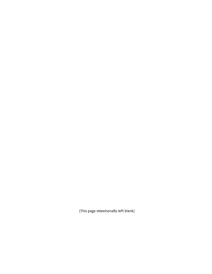(This page intentionally left blank)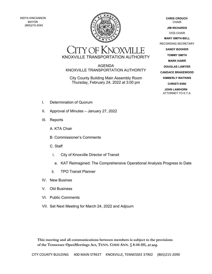INDYA KINCANNON MAYOR (865)215-2040





Y KNOXVILLE TRANSPORTATION AUTHORITY

#### AGENDA KNOXVILLE TRANSPORTATION AUTHORITY

City County Building Main Assembly Room Thursday, February 24, 2022 at 3:00 pm

- I. Determination of Quorum
- II. Approval of Minutes January 27, 2022
- III. Reports
	- A. KTA Chair
	- B. Commissioner's Comments
	- C. Staff
		- i. City of Knoxville Director of Transit
			- a. KAT Reimagined: The Comprehensive Operational Analysis Progress to Date
	- ii. TPO Transit Planner
- IV. New Busines
- V. Old Business
- VI. Public Comments
- VII. Set Next Meeting for March 24, 2022 and Adjourn

**This meeting and all communications between members is subject to the provisions of the Tennessee OpenMeetings Act, TENN. CODE ANN. § 8-44-101,** et seq**.**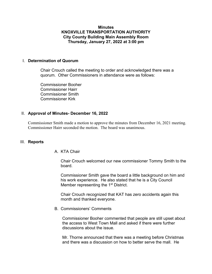## **Minutes KNOXVILLE TRANSPORTATION AUTHORITY City County Building Main Assembly Room Thursday, January 27, 2022 at 3:00 pm**

#### I. **Determination of Quorum**

Chair Crouch called the meeting to order and acknowledged there was a quorum. Other Commissioners in attendance were as follows:

Commissioner Booher Commissioner Hairr Commissioner Smith Commissioner Kirk

#### II. **Approval of Minutes- December 16, 2022**

Commissioner Smith made a motion to approve the minutes from December 16, 2021 meeting. Commissioner Hairr seconded the motion. The board was unanimous.

#### III. **Reports**

A. KTA Chair

Chair Crouch welcomed our new commissioner Tommy Smith to the board.

Commissioner Smith gave the board a little background on him and his work experience. He also stated that he is a City Council Member representing the 1<sup>st</sup> District.

Chair Crouch recognized that KAT has zero accidents again this month and thanked everyone.

B. Commissioners' Comments

Commissioner Booher commented that people are still upset about the access to West Town Mall and asked if there were further discussions about the issue.

Mr. Thorne announced that there was a meeting before Christmas and there was a discussion on how to better serve the mall. He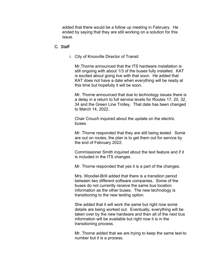added that there would be a follow up meeting in February. He ended by saying that they are still working on a solution for this issue.

## C. Staff

i. City of Knoxville Director of Transit

Mr.Thorne announced that the ITS hardware installation is still ongoing with about 1/3 of the buses fully installed. KAT is excited about going live with that soon. He added that KAT does not have a date when everything will be ready at this time but hopefully it will be soon.

Mr. Thorne announced that due to technology issues there is a delay in a return to full service levels for Routes 17, 20, 32, 34 and the Green Line Trolley. That date has been changed to March 14, 2022.

Chair Crouch inquired about the update on the electric buses.

Mr. Thorne responded that they are still being tested. Some are out on routes, the plan is to get them out for service by the end of February 2022.

Commissioner Smith inquired about the text feature and if it is included in the ITS changes.

Mr. Thorne responded that yes it is a part of the changes.

Mrs. Woodiel-Brill added that there is a transition period between two different software companies. Some of the buses do not currently receive the same bus location information as the other buses. The new technology is transitioning to the new texting option.

She added that it will work the same but right now some details are being worked out. Eventually, everything will be taken over by the new hardware and then all of the next bus information will be available but right now it is in the transitioning process.

Mr. Thorne added that we are trying to keep the same text-to number but it is a process.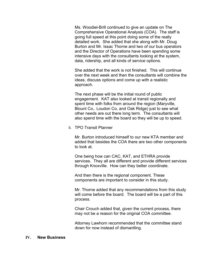Ms. Woodiel-Brill continued to give an update on The Comprehensive Operational Analysis (COA). The staff is going full speed at this point doing some of the really detailed work. She added that she along with Mr. Doug Burton and Mr. Issac Thorne and two of our bus operators and the Director of Operations have been spending some intensive days with the consultants looking at the system, data, ridership, and all kinds of service options.

She added that the work is not finished. This will continue over the next week and then the consultants will combine the ideas, discuss options and come up with a realistic approach.

The next phase will be the initial round of public engagement. KAT also looked at transit regionally and spent time with folks from around the region (Maryville, Blount Co,. Loudon Co, and Oak Ridge) just to see what other needs are out there long term. The consultants will also spend time with the board so they will be up to speed.

ii. TPO Transit Planner

Mr. Burton introduced himself to our new KTA member and added that besides the COA there are two other components to look at.

One being how can CAC, KAT, and ETHRA provide services. They all are different and provide different services through Knoxville. How can they better coordinate.

And then there is the regional component. These components are important to consider in this study.

Mr. Thorne added that any recommendations from this study will come before the board. The board will be a part of this process.

Chair Crouch added that, given the current process, there may not be a reason for the original COA committee.

Attorney Lawhorn recommended that the committee stand down for now instead of dismantling.

#### **IV. New Business**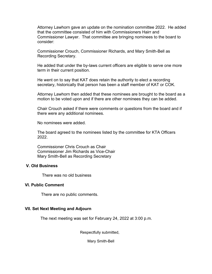Attorney Lawhorn gave an update on the nomination committee 2022. He added that the committee consisted of him with Commissioners Hairr and Commissioner Lawyer. That committee are bringing nominees to the board to consider:

Commissioner Crouch, Commissioner Richards, and Mary Smith-Bell as Recording Secretary.

He added that under the by-laws current officers are eligible to serve one more term in their current position.

He went on to say that KAT does retain the authority to elect a recording secretary, historically that person has been a staff member of KAT or COK.

Attorney Lawhorn then added that these nominees are brought to the board as a motion to be voted upon and if there are other nominees they can be added.

Chair Crouch asked if there were comments or questions from the board and if there were any additional nominees.

No nominees were added.

The board agreed to the nominees listed by the committee for KTA Officers 2022.

Commissioner Chris Crouch as Chair Commissioner Jim Richards as Vice-Chair Mary Smith-Bell as Recording Secretary

## **V. Old Business**

There was no old business

## **VI. Public Comment**

There are no public comments.

## **VII. Set Next Meeting and Adjourn**

The next meeting was set for February 24, 2022 at 3:00 p.m.

Respectfully submitted,

Mary Smith-Bell